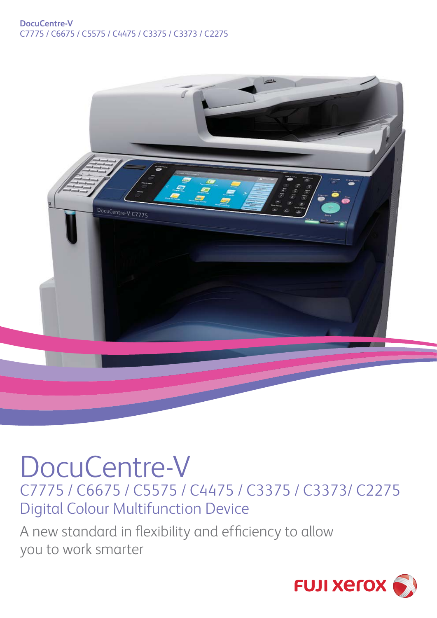## **DocuCentre-V** C7775 / C6675 / C5575 / C4475 / C3375 / C3373 / C2275



## DocuCentre-V C7775 / C6675 / C5575 / C4475 / C3375 / C3373/ C2275 Digital Colour Multifunction Device

A new standard in flexibility and efficiency to allow you to work smarter

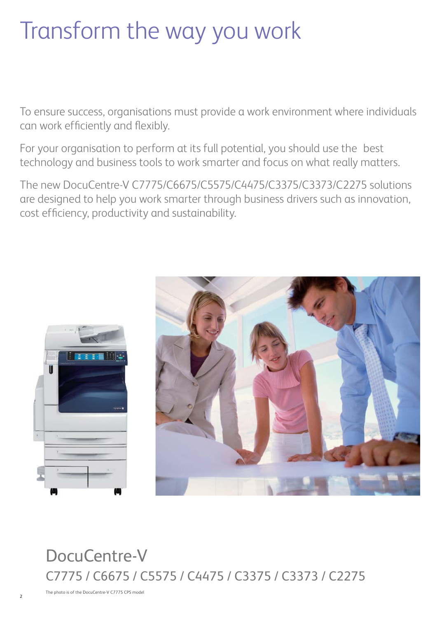# Transform the way you work

To ensure success, organisations must provide a work environment where individuals can work efficiently and flexibly.

For your organisation to perform at its full potential, you should use the best technology and business tools to work smarter and focus on what really matters.

The new DocuCentre-V C7775/C6675/C5575/C4475/C3375/C3373/C2275 solutions are designed to help you work smarter through business drivers such as innovation, cost efficiency, productivity and sustainability.





## DocuCentre-V C7775 / C6675 / C5575 / C4475 / C3375 / C3373 / C2275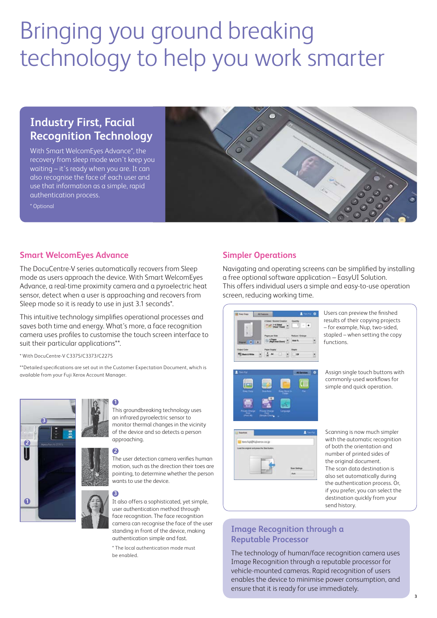## Bringing you ground breaking technology to help you work smarter

## **Industry First, Facial Recognition Technology**

With Smart WelcomEyes Advance\*, the recovery from sleep mode won't keep you waiting – it's ready when you are. It can also recognise the face of each user and use that information as a simple, rapid authentication process.

\* Optional



#### **Smart WelcomEyes Advance**

The DocuCentre-V series automatically recovers from Sleep mode as users approach the device. With Smart WelcomEyes Advance, a real-time proximity camera and a pyroelectric heat sensor, detect when a user is approaching and recovers from Sleep mode so it is ready to use in just 3.1 seconds\*.

This intuitive technology simplifies operational processes and saves both time and energy. What's more, a face recognition camera uses profiles to customise the touch screen interface to suit their particular applications\*\*.

\* With DocuCentre-V C3375/C3373/C2275

\*\*Detailed specifications are set out in the Customer Expectation Document, which is available from your Fuji Xerox Account Manager.



#### **1**

This groundbreaking technology uses an infrared pyroelectric sensor to monitor thermal changes in the vicinity of the device and so detects a person approaching.

#### **2**

The user detection camera verifies human motion, such as the direction their toes are pointing, to determine whether the person wants to use the device.

## **3**

It also offers a sophisticated, yet simple, user authentication method through face recognition. The face recognition camera can recognise the face of the user standing in front of the device, making authentication simple and fast.

\* The local authentication mode must be enabled.

### **Simpler Operations**

Navigating and operating screens can be simplified by installing a free optional software application – EasyUI Solution. This offers individual users a simple and easy-to-use operation screen, reducing working time.





Users can preview the finished results of their copying projects – for example, Nup, two-sided, stapled – when setting the copy functions.

Assign single touch buttons with commonly-used workflows for simple and quick operation.

Scanning is now much simpler with the automatic recognition of both the orientation and number of printed sides of the original document. The scan data destination is also set automatically during the authentication process. Or, if you prefer, you can select the destination quickly from your send history.

## **Image Recognition through a Reputable Processor**

The technology of human/face recognition camera uses Image Recognition through a reputable processor for vehicle-mounted cameras. Rapid recognition of users enables the device to minimise power consumption, and ensure that it is ready for use immediately.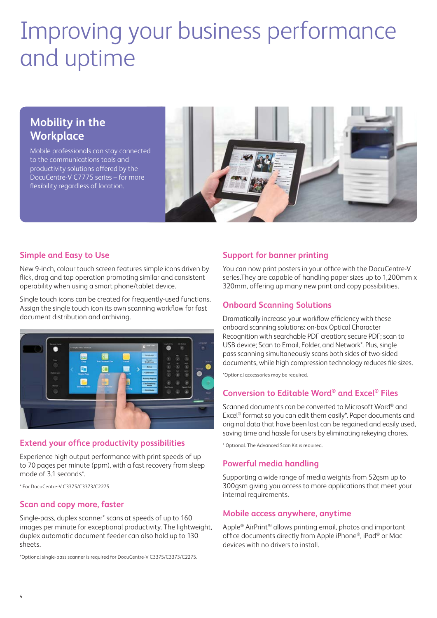## Improving your business performance and uptime

## **Mobility in the Workplace**

Mobile professionals can stay connected to the communications tools and productivity solutions offered by the DocuCentre-V C7775 series – for more flexibility regardless of location.



### **Simple and Easy to Use**

New 9-inch, colour touch screen features simple icons driven by flick, drag and tap operation promoting similar and consistent operability when using a smart phone/tablet device.

Single touch icons can be created for frequently-used functions. Assign the single touch icon its own scanning workflow for fast document distribution and archiving.



### **Extend your office productivity possibilities**

Experience high output performance with print speeds of up to 70 pages per minute (ppm), with a fast recovery from sleep mode of 3.1 seconds\*.

\* For DocuCentre-V C3375/C3373/C2275.

#### **Scan and copy more, faster**

Single-pass, duplex scanner\* scans at speeds of up to 160 images per minute for exceptional productivity. The lightweight, duplex automatic document feeder can also hold up to 130 sheets.

\*Optional single-pass scanner is required for DocuCentre-V C3375/C3373/C2275.

#### **Support for banner printing**

You can now print posters in your office with the DocuCentre-V series.They are capable of handling paper sizes up to 1,200mm x 320mm, offering up many new print and copy possibilities.

#### **Onboard Scanning Solutions**

Dramatically increase your workflow efficiency with these onboard scanning solutions: on-box Optical Character Recognition with searchable PDF creation; secure PDF; scan to USB device; Scan to Email, Folder, and Network\*. Plus, single pass scanning simultaneously scans both sides of two-sided documents, while high compression technology reduces file sizes.

\*Optional accessories may be required.

#### **Conversion to Editable Word® and Excel® Files**

Scanned documents can be converted to Microsoft Word® and Excel® format so you can edit them easily\*. Paper documents and original data that have been lost can be regained and easily used, saving time and hassle for users by eliminating rekeying chores.

\* Optional. The Advanced Scan Kit is required.

#### **Powerful media handling**

Supporting a wide range of media weights from 52gsm up to 300gsm giving you access to more applications that meet your internal requirements.

#### **Mobile access anywhere, anytime**

Apple® AirPrint™ allows printing email, photos and important office documents directly from Apple iPhone®, iPad® or Mac devices with no drivers to install.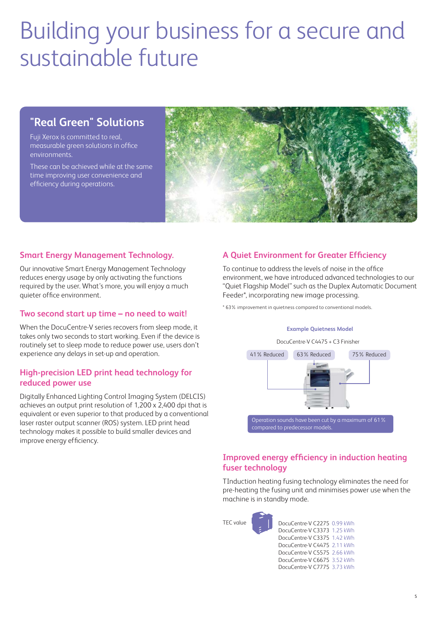## Building your business for a secure and sustainable future

## **"Real Green" Solutions**

Fuji Xerox is committed to real, measurable green solutions in office environments.

These can be achieved while at the same time improving user convenience and efficiency during operations.



#### **Smart Energy Management Technology.**

Our innovative Smart Energy Management Technology reduces energy usage by only activating the functions required by the user. What's more, you will enjoy a much quieter office environment.

#### **Two second start up time – no need to wait!**

When the DocuCentre-V series recovers from sleep mode, it takes only two seconds to start working. Even if the device is routinely set to sleep mode to reduce power use, users don't experience any delays in set-up and operation.

#### **High-precision LED print head technology for reduced power use**

Digitally Enhanced Lighting Control Imaging System (DELCIS) achieves an output print resolution of 1,200 x 2,400 dpi that is equivalent or even superior to that produced by a conventional laser raster output scanner (ROS) system. LED print head technology makes it possible to build smaller devices and improve energy efficiency.

## **A Quiet Environment for Greater Efficiency**

To continue to address the levels of noise in the office environment, we have introduced advanced technologies to our "Quiet Flagship Model" such as the Duplex Automatic Document Feeder\*, incorporating new image processing.

\* 63% improvement in quietness compared to conventional models.

#### **Example Quietness Model**

DocuCentre-V C4475 + C3 Finisher



## **Improved energy efficiency in induction heating fuser technology**

TInduction heating fusing technology eliminates the need for pre-heating the fusing unit and minimises power use when the machine is in standby mode.



DocuCentre-V C2275 0.99 kWh DocuCentre-V C3373 1.25 kWh DocuCentre-V C3375 1.42 kWh DocuCentre-V C4475 2.11 kWh DocuCentre-V C5575 2.66 kWh DocuCentre-V C6675 3.52 kWh DocuCentre-V C7775 3.73 kWh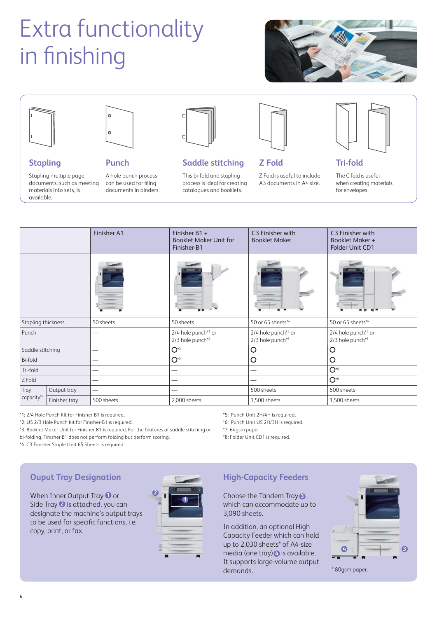# Extra functionality in finishing





**Stapling**

available.

Stapling multiple page

materials into sets, is



### **Punch**

documents, such as meeting A hole punch process can be used for filing documents in binders.



## **Saddle stitching**

This bi-fold and stapling process is ideal for creating catalogues and booklets.



**Z Fold**

Z Fold is useful to include A3 documents in A4 size.



**Tri-fold**

The C-fold is useful when creating materials for envelopes.

| Finisher A1                       |               |                                                       | Finisher B1 +<br><b>Booklet Maker Unit for</b><br>Finisher-B1 | C3 Finisher with<br><b>Booklet Maker</b> | C3 Finisher with<br><b>Booklet Maker +</b><br><b>Folder Unit CD1</b> |  |
|-----------------------------------|---------------|-------------------------------------------------------|---------------------------------------------------------------|------------------------------------------|----------------------------------------------------------------------|--|
|                                   |               |                                                       |                                                               |                                          |                                                                      |  |
| Stapling thickness                |               | 50 sheets                                             | 50 sheets                                                     | 50 or 65 sheets*4                        | 50 or 65 sheets*4                                                    |  |
| Punch<br>$\overline{\phantom{0}}$ |               | 2/4 hole punch*1 or<br>$2/3$ hole punch <sup>*2</sup> | 2/4 hole punch*5 or<br>2/3 hole punch*6                       | 2/4 hole punch*5 or<br>2/3 hole punch*6  |                                                                      |  |
| Saddle stitching                  |               | --                                                    | $O^*$                                                         | O                                        | O                                                                    |  |
| <b>Bi-fold</b>                    |               | --                                                    | $O^*$                                                         | $\circ$                                  | $\circ$                                                              |  |
| Tri-fold<br>--                    |               |                                                       |                                                               |                                          | $O^*$                                                                |  |
| Z Fold                            |               |                                                       |                                                               | --                                       | $O^*$                                                                |  |
| Tray                              | Output tray   |                                                       |                                                               | 500 sheets                               | 500 sheets                                                           |  |
| capacity <sup>*7</sup>            | Finisher tray | 500 sheets                                            | 2,000 sheets                                                  | 1,500 sheets                             | 1,500 sheets                                                         |  |

\*1: 2/4 Hole Punch Kit for Finisher-B1 is required.

\*2: US 2/3 Hole Punch Kit for Finisher-B1 is required.

\*3: Booklet Maker Unit for Finisher-B1 is required. For the features of saddle stitching or bi-folding, Finisher B1 does not perform folding but perform scoring.

\*4: C3 Finisher Staple Unit 65 Sheets is required.

\*5: Punch Unit 2H/4H is required.

\*6: Punch Unit US 2H/3H is required.

\*7: 64gsm paper

\*8: Folder Unit CD1 is required.

## **Ouput Tray Designation**

When Inner Output Tray **1** or Side Tray **2** is attached, you can designate the machine's output trays to be used for specific functions, i.e. copy, print, or fax.



## **High-Capacity Feeders**

Choose the Tandem Tray **3**, which can accommodate up to 3,090 sheets.

In addition, an optional High Capacity Feeder which can hold up to 2,030 sheets\* of A4-size media (one tray) $\bullet$  is available. It supports large-volume output demands. \* 80gsm paper.

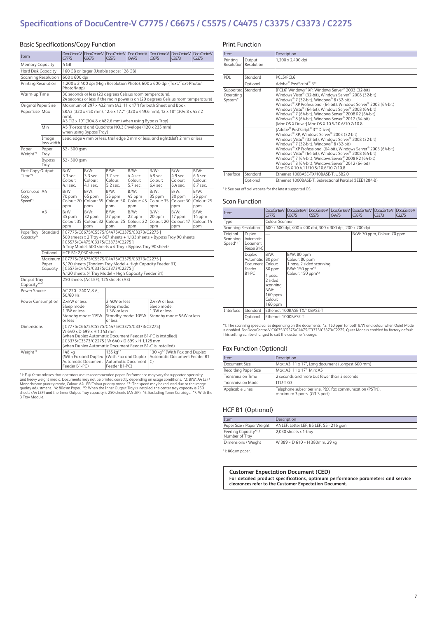## **Specifications of DocuCentre-V C7775 / C6675 / C5575 / C4475 / C3375 / C3373 / C2275**

#### Basic Specifications/Copy Function

| Item                                |                       | Doa,Centre-V<br>C7775                                                                                      | DocuCentre-V<br>C6675      | Doa,Centre-V<br>C5575                                                                                                                         | DocuCentre-V<br>C4475 | DocuCentre-V<br>C3375                                                | DocuCentre-V<br>C3373                     | DocuCentre-V<br>C2275 |  |
|-------------------------------------|-----------------------|------------------------------------------------------------------------------------------------------------|----------------------------|-----------------------------------------------------------------------------------------------------------------------------------------------|-----------------------|----------------------------------------------------------------------|-------------------------------------------|-----------------------|--|
| <b>Memory Capacity</b>              |                       | 4 GB                                                                                                       |                            |                                                                                                                                               |                       |                                                                      |                                           |                       |  |
| Hard Disk Capacity                  |                       | 160 GB or larger (Usable space: 128 GB)                                                                    |                            |                                                                                                                                               |                       |                                                                      |                                           |                       |  |
| Scanning Resolution                 |                       | 600 x 600 dpi                                                                                              |                            |                                                                                                                                               |                       |                                                                      |                                           |                       |  |
| Printing Resolution                 |                       | Photo/Map)                                                                                                 |                            | 1,200 x 2,400 dpi (High Resolution Photo), 600 x 600 dpi (Text/Text-Photo/                                                                    |                       |                                                                      |                                           |                       |  |
| Warm-up Time                        |                       |                                                                                                            |                            | 30 seconds or less (20 degrees Celsius room temperature).<br>24 seconds or less if the main power is on (20 degrees Celsius room temperature) |                       |                                                                      |                                           |                       |  |
| Original Paper Size                 |                       |                                                                                                            |                            | Maximum of 297 x 432 mm (A3, 11 x 17") for both Sheet and Book                                                                                |                       |                                                                      |                                           |                       |  |
| Paper Size Max                      |                       | mm).                                                                                                       |                            | SRA3 (320 x 450 mm), 12.6 x 17.7" (320 x 449.6 mm), 12 x 18" (304.8 x 457.2<br>A3 [12 x 19" (304.8 x 482.6 mm) when using Bypass Tray]        |                       |                                                                      |                                           |                       |  |
|                                     | Min                   |                                                                                                            | when using Bypass Tray]    | A5 [Postcard and Quadrate NO.3 Envelope (120 x 235 mm)                                                                                        |                       |                                                                      |                                           |                       |  |
|                                     | Image<br>loss width   |                                                                                                            |                            | Lead edge 4 mm or less, trail edge 2 mm or less, and right&left 2 mm or less                                                                  |                       |                                                                      |                                           |                       |  |
| Paper<br>Weight*1                   | Paper<br>Tray         | 52 - 300 gsm                                                                                               |                            |                                                                                                                                               |                       |                                                                      |                                           |                       |  |
|                                     | <b>Bypass</b><br>Tray | 52 - 300 gsm                                                                                               |                            |                                                                                                                                               |                       |                                                                      |                                           |                       |  |
| First Copy Output                   |                       | B/W:                                                                                                       | B/W:                       | B/W:                                                                                                                                          | B/W:                  | B/W:                                                                 | B/W:                                      | B/W:                  |  |
| Time*2                              |                       | 3.3 sec.<br>Colour:                                                                                        | 3.3 sec.<br>Colour:        | 3.7 sec.<br>Colour:                                                                                                                           | 4.4 sec.<br>Colour:   | 4.9 sec.<br>Colour:                                                  | 4.9 sec.<br>Colour:                       | 6.6 sec.<br>Colour:   |  |
|                                     |                       | 4.1 sec.                                                                                                   | 4.1 sec.                   | 5.2 sec.                                                                                                                                      | 5.7 sec.              | 6.4 sec.                                                             | 6.4 sec.                                  | 8.7 sec.              |  |
| Continuous                          | A4                    | B/W:                                                                                                       | $B/W$ :                    | B/W:                                                                                                                                          | B/W:                  | B/W:                                                                 | B/W:                                      | B/W:                  |  |
| Copy                                |                       | 70 ppm                                                                                                     | 65 ppm                     | 55 ppm                                                                                                                                        | 45 ppm                | 35 ppm                                                               | 30 ppm                                    | 25 ppm                |  |
| Speed* <sup>3</sup>                 |                       | Colour: 70<br>ppm                                                                                          | Colour: 65<br>ppm          | Colour: 50<br>ppm                                                                                                                             | Colour: 45<br>ppm     | Colour: 35<br>ppm                                                    | Colour: 30<br>ppm                         | Colour: 25<br>ppm     |  |
|                                     | A3                    | B/W:                                                                                                       | B/W:                       | B/W:                                                                                                                                          | B/W:                  | B/W:                                                                 | B/W:                                      | B/W:                  |  |
|                                     |                       | 35 ppm                                                                                                     | 32 ppm                     | 27 ppm                                                                                                                                        | 22 ppm                | 20 ppm                                                               | 17 ppm                                    | 14 ppm                |  |
|                                     |                       | Colour: 35                                                                                                 | Colour: 32                 | Colour: 25                                                                                                                                    | Colour: 22            | Colour: 20                                                           | Colour: 17                                | Colour: 14            |  |
|                                     |                       | ppm                                                                                                        | ppm                        | ppm                                                                                                                                           | ppm                   | ppm                                                                  | ppm                                       | ppm                   |  |
| Paper Tray<br>Capacity <sup>*</sup> | Standard              |                                                                                                            |                            | [C7775/C6675/C5575/C4475/C3375/C3373/C2275]                                                                                                   |                       |                                                                      |                                           |                       |  |
|                                     |                       | 500 sheets x 2 Tray + 867 sheets + 1,133 sheets + Bypass Tray 90 sheets<br>[C5575/C4475/C3375/C3373/C2275] |                            |                                                                                                                                               |                       |                                                                      |                                           |                       |  |
|                                     |                       | 4 Tray Model: 500 sheets x 4 Tray + Bypass Tray 90 sheets                                                  |                            |                                                                                                                                               |                       |                                                                      |                                           |                       |  |
|                                     | Optional              | HCF B1: 2,030 sheets                                                                                       |                            |                                                                                                                                               |                       |                                                                      |                                           |                       |  |
|                                     | Maximum               | [C7775/C6675/C5575/C4475/C3375/C3373/C2275]<br>5,120 sheets (Tandem Tray Model + High Capacity Feeder B1)  |                            |                                                                                                                                               |                       |                                                                      |                                           |                       |  |
|                                     | Paper<br>Capacity     |                                                                                                            |                            |                                                                                                                                               |                       |                                                                      |                                           |                       |  |
|                                     |                       | [C5575/C4475/C3375/C3373/C2275]<br>4,120 sheets (4 Tray Model + High Capacity Feeder B1)                   |                            |                                                                                                                                               |                       |                                                                      |                                           |                       |  |
| Output Tray<br>Capacity*4*5         |                       | 250 sheets (A4 LEF), 125 sheets (A3)                                                                       |                            |                                                                                                                                               |                       |                                                                      |                                           |                       |  |
| Power Source                        |                       | AC 220 - 240 V, 8 A,<br>50/60 Hz                                                                           |                            |                                                                                                                                               |                       |                                                                      |                                           |                       |  |
| Power Consumption                   |                       | 2.4kW or less                                                                                              |                            | 2.4kW or less                                                                                                                                 |                       | 2.4kW or less                                                        |                                           |                       |  |
|                                     |                       | Sleep mode:<br>1.3W or less                                                                                |                            | Sleep mode:                                                                                                                                   |                       | Sleep mode:                                                          |                                           |                       |  |
|                                     |                       | Standby mode: 119W                                                                                         |                            | 1.3W or less<br>Standby mode: 105W                                                                                                            |                       | 1.3W or less<br>Standby mode: 56W or less                            |                                           |                       |  |
|                                     |                       | or less                                                                                                    |                            | or less                                                                                                                                       |                       |                                                                      |                                           |                       |  |
| Dimensions                          |                       |                                                                                                            |                            | [C7775/C6675/C5575/C4475/C3375/C3373/C2275]                                                                                                   |                       |                                                                      |                                           |                       |  |
|                                     |                       |                                                                                                            | W 640 x D 699 x H 1.143 mm | (when Duplex Automatic Document Feeder B1-PC is installed)                                                                                    |                       |                                                                      |                                           |                       |  |
|                                     |                       |                                                                                                            |                            | [C3375/C3373/C2275] W 640 x D 699 x H 1,128 mm                                                                                                |                       |                                                                      |                                           |                       |  |
|                                     |                       |                                                                                                            |                            | (when Duplex Automatic Document Feeder B1-C is installed)                                                                                     |                       |                                                                      |                                           |                       |  |
| Weight*6                            |                       | 148 kg                                                                                                     |                            | 135 kg*7                                                                                                                                      |                       |                                                                      | 130 kg <sup>*7</sup> (With Fax and Duplex |                       |  |
|                                     |                       | (With Fax and Duplex<br><b>Automatic Document</b>                                                          |                            | Automatic Document                                                                                                                            |                       | (With Fax and Duplex   Automatic Document Feeder B1-<br>$\mathsf{C}$ |                                           |                       |  |
|                                     |                       | Feeder B1-PC)                                                                                              |                            | Feeder B1-PC)                                                                                                                                 |                       |                                                                      |                                           |                       |  |

"1: Fuji Xerox advises that operators use its recommended paper. Performance may vary for supported speciality<br>and heavy weight media. Documents may not be printed correctly depending on usage conditions. "2: BM: AA LEF/<br>M

#### Print Function

| Item                                        |                                 | Description                                                                                                                                                                                                                                                                                                                                                                                                                                                             |  |  |  |
|---------------------------------------------|---------------------------------|-------------------------------------------------------------------------------------------------------------------------------------------------------------------------------------------------------------------------------------------------------------------------------------------------------------------------------------------------------------------------------------------------------------------------------------------------------------------------|--|--|--|
| Printing                                    | Output<br>Resolution Resolution | 1,200 x 2,400 dpi                                                                                                                                                                                                                                                                                                                                                                                                                                                       |  |  |  |
|                                             |                                 |                                                                                                                                                                                                                                                                                                                                                                                                                                                                         |  |  |  |
| <b>PDL</b>                                  | Standard                        | PCL5/PCL6                                                                                                                                                                                                                                                                                                                                                                                                                                                               |  |  |  |
|                                             | Optional                        | Adobe <sup>®</sup> PostScript <sup>®</sup> 3™                                                                                                                                                                                                                                                                                                                                                                                                                           |  |  |  |
| Supported Standard<br>Operating<br>System*1 |                                 | [PCL6] Windows® XP, Windows Server® 2003 (32-bit)<br>Windows Vista® (32-bit), Windows Server® 2008 (32-bit)<br>Windows® 7 (32-bit), Windows® 8 (32-bit)<br>Windows® XP Professional (64-bit), Windows Server® 2003 (64-bit)<br>Windows Vista® (64-bit), Windows Server® 2008 (64-bit)<br>Windows® 7 (64-bit), Windows Server® 2008 R2 (64-bit)<br>Windows® 8 (64-bit), Windows Server® 2012 (64-bit)<br>[Mac OS X Driver] Mac OS X 10.5/10.6/10.7/10.8                  |  |  |  |
|                                             |                                 | [Adobe® PostScript® 3™ Driver]<br>Windows® XP, Windows Server® 2003 (32-bit)<br>Windows Vista® (32-bit), Windows Server® 2008 (32-bit)<br>Windows® 7 (32-bit), Windows® 8 (32-bit)<br>Windows® XP Professional (64-bit), Windows Server® 2003 (64-bit)<br>Windows Vista® (64-bit), Windows Server® 2008 (64-bit)<br>Windows® 7 (64-bit), Windows Server® 2008 R2 (64-bit)<br>Windows® 8 (64-bit), Windows Server® 2012 (64-bit)<br>Mac OS X 10.4.11/10.5/10.6/10.7/10.8 |  |  |  |
| Interface                                   | Standard                        | Ethernet 100BASE-TX/10BASE-T, USB2.0                                                                                                                                                                                                                                                                                                                                                                                                                                    |  |  |  |
|                                             | Optional                        | Ethernet 1000BASE-T, Bidirectional Parallel (IEEE1284-B)                                                                                                                                                                                                                                                                                                                                                                                                                |  |  |  |

\*1: See our official website for the latest supported OS.

#### Scan Function

| Item                            |                                                                  | Doa,CentreV<br>C7775                                                                                                | Doa, Centre V<br>C6675                                                                       | DocuCentre-V<br>C5575                                      | DocuCentre-V<br>C4475 | Dog Centre-V<br><b>C3375</b> | Dog Centre-V<br>C3373 | Doa, Centre V<br><b>C2275</b> |  |  |
|---------------------------------|------------------------------------------------------------------|---------------------------------------------------------------------------------------------------------------------|----------------------------------------------------------------------------------------------|------------------------------------------------------------|-----------------------|------------------------------|-----------------------|-------------------------------|--|--|
| Type                            |                                                                  |                                                                                                                     | Colour Scanner                                                                               |                                                            |                       |                              |                       |                               |  |  |
| Scanning Resolution             |                                                                  |                                                                                                                     |                                                                                              | 600 x 600 dpi, 400 x 400 dpi, 300 x 300 dpi, 200 x 200 dpi |                       |                              |                       |                               |  |  |
| Original<br>Scanning<br>Speed*1 | Duplex<br><b>Automatic</b><br><b>Document</b><br>Feeder B1-C     |                                                                                                                     |                                                                                              |                                                            |                       | B/W: 70 ppm, Colour: 70 ppm  |                       |                               |  |  |
|                                 | Duplex<br>Automatic<br>Document  <br>Feeder<br>B <sub>1-PC</sub> | B/W:<br>$ 80$ ppm<br>Colour:<br>80 ppm<br>1 pass,<br>2 sided<br>scanning<br>B/W:<br>$160$ ppm<br>Colour:<br>160 ppm | B/W: 80 ppm<br>Colour: 80 ppm<br>B/W: 150 ppm <sup>*2</sup><br>Colour: 150 ppm <sup>*2</sup> | 1 pass, 2 sided scanning                                   |                       |                              |                       |                               |  |  |
| Interface                       | Standard                                                         |                                                                                                                     | Ethernet 100BASE-TX/10BASE-T                                                                 |                                                            |                       |                              |                       |                               |  |  |
|                                 | Optional                                                         |                                                                                                                     | Ethernet 1000BASE-T                                                                          |                                                            |                       |                              |                       |                               |  |  |

\*1: The scanning speed varies depending on the documents. \*2: 160 ppm for both B/W and colour when Quiet Mode<br>is disabled. For DocuCentre-V C6675/C5575/C4475/C3375/C3373/C2275, Quiet Mode is enabled by factory default.<br>Thi

#### Fax Function (Optional)

| Item                     | Description                                                                              |
|--------------------------|------------------------------------------------------------------------------------------|
| Document Size            | Max: A3, 11 x 17", Long document (Longest 600 mm)                                        |
| Recording Paper Size     | Max: A3. 11 x 17" Min: A5                                                                |
| <b>Transmission Time</b> | 2 seconds and more but fewer than 3 seconds                                              |
| <b>Transmission Mode</b> | ITU-T G3                                                                                 |
| Applicable Lines         | Telephone subscriber line, PBX, fax communication (PSTN),<br>maximum 3 ports (G3-3 port) |

#### HCF B1 (Optional)

| Item                                  | Description                              |
|---------------------------------------|------------------------------------------|
| Paper Size / Paper Weight             | A4 LEF, Letter LEF, B5 LEF, 55 - 216 gsm |
| Feeding Capacity*1/<br>Number of Tray | 2,030 sheets x 1-tray                    |
| Dimensions / Weight                   | W 389 × D 610 × H 380mm, 29 kg           |
|                                       |                                          |

\*1: 80gsm paper.

#### **Customer Expectation Document (CED) For detailed product specifications, optimum performance parameters and service**

**clearances refer to the Customer Expectation Document.**